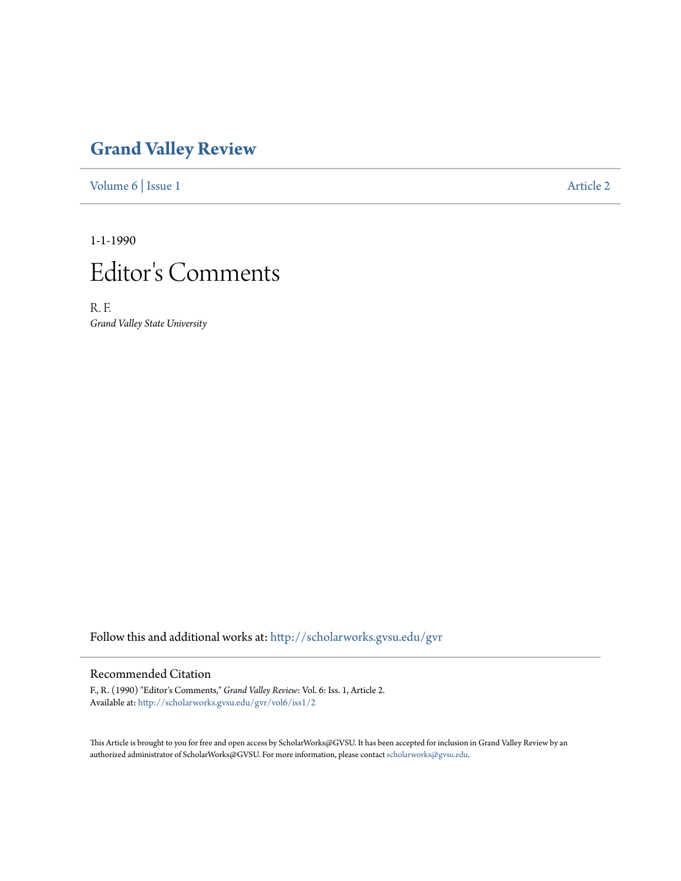## **[Grand Valley Review](http://scholarworks.gvsu.edu/gvr?utm_source=scholarworks.gvsu.edu%2Fgvr%2Fvol6%2Fiss1%2F2&utm_medium=PDF&utm_campaign=PDFCoverPages)**

[Volume 6](http://scholarworks.gvsu.edu/gvr/vol6?utm_source=scholarworks.gvsu.edu%2Fgvr%2Fvol6%2Fiss1%2F2&utm_medium=PDF&utm_campaign=PDFCoverPages) | [Issue 1](http://scholarworks.gvsu.edu/gvr/vol6/iss1?utm_source=scholarworks.gvsu.edu%2Fgvr%2Fvol6%2Fiss1%2F2&utm_medium=PDF&utm_campaign=PDFCoverPages) [Article 2](http://scholarworks.gvsu.edu/gvr/vol6/iss1/2?utm_source=scholarworks.gvsu.edu%2Fgvr%2Fvol6%2Fiss1%2F2&utm_medium=PDF&utm_campaign=PDFCoverPages)

1-1-1990



R. F. *Grand Valley State University*

Follow this and additional works at: [http://scholarworks.gvsu.edu/gvr](http://scholarworks.gvsu.edu/gvr?utm_source=scholarworks.gvsu.edu%2Fgvr%2Fvol6%2Fiss1%2F2&utm_medium=PDF&utm_campaign=PDFCoverPages)

## Recommended Citation

F., R. (1990) "Editor's Comments," *Grand Valley Review*: Vol. 6: Iss. 1, Article 2. Available at: [http://scholarworks.gvsu.edu/gvr/vol6/iss1/2](http://scholarworks.gvsu.edu/gvr/vol6/iss1/2?utm_source=scholarworks.gvsu.edu%2Fgvr%2Fvol6%2Fiss1%2F2&utm_medium=PDF&utm_campaign=PDFCoverPages)

This Article is brought to you for free and open access by ScholarWorks@GVSU. It has been accepted for inclusion in Grand Valley Review by an authorized administrator of ScholarWorks@GVSU. For more information, please contact [scholarworks@gvsu.edu.](mailto:scholarworks@gvsu.edu)